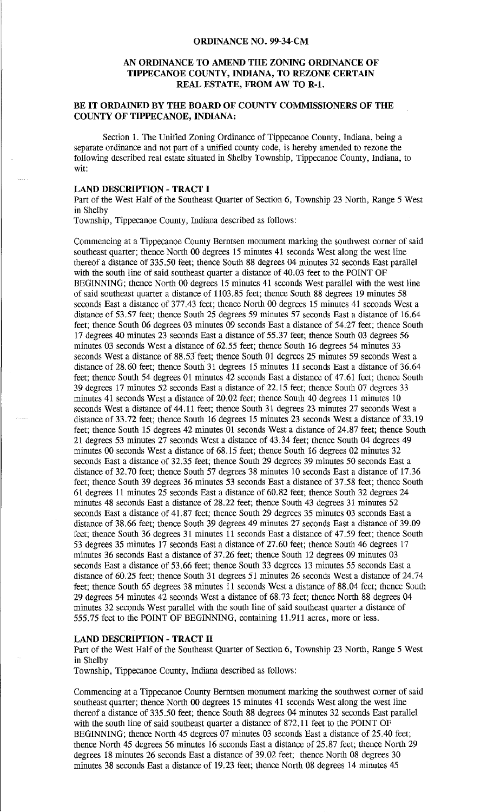#### **ORDINANCE NO. 99-34-CM**

# **AN ORDINANCE TO AMEND THE ZONING ORDINANCE OF TWPECANOE COUNTY, INDIANA, TO REZONE CERTAIN REAL ESTATE, FROM AW TO R-1.**

### **BE IT ORDAINED BY THE BOARD OF COUNTY COMMISSIONERS OF THE COUNTY OF TIPPECANOE, INDIANA:**

Section 1. The Unified Zoning Ordinance of Tippecanoe County, Indiana, being a separate ordinance and not part of a unified county code, is hereby amended to rezone the following described real estate situated in Shelby Township, Tippecanoe County, Indiana, to wit:

### **LAND DESCRIPTION - TRACT I**

Part of the West Half of the Southeast Quarter of Section 6, Township 23 North, Range 5 West in Shelby

Township, Tippecanoe County, Indiana described as follows:

Commencing at a Tippecanoe County Berntsen monument marking tbe soutbwest corner of said southeast quarter; thence North 00 degrees 15 minutes 41 seconds West along the west line tbereof a distance of 33S.SO feet; tbence Soutb 88 degrees 04 minutes 32 seconds East parallel with the south line of said southeast quarter a distance of 40.03 feet to the POINT OF BEGINNING; thence North 00 degrees 15 minutes 41 seconds West parallel with the west line of said southeast quarter a distance of 1103.85 feet; thence South 88 degrees 19 minutes 58 seconds East a distance of 377.43 feet; thence North 00 degrees 15 minutes 41 seconds West a distance of 53.57 feet; thence South 25 degrees 59 minutes 57 seconds East a distance of 16.64 feet; thence South 06 degrees 03 minutes 09 seconds East a distance of 54.27 feet; thence South 17 degrees 40 minutes 23 seconds East a distance of SS.37 feet; tbence Soutb 03 degrees S6 minutes 03 seconds West a distance of 62.55 feet; thence South 16 degrees 54 minutes 33 seconds West a distance of  $88.53$  feet; thence South 01 degrees 25 minutes 59 seconds West a distance of 28.60 feet; thence South 31 degrees 15 minutes 11 seconds East a distance of 36.64 feet; tbence Soutb S4 degrees 01 minutes 42 seconds East a distance of 47.61 feet; tbence Soutb 39 degrees 17 minutes S2 seconds East a distance of 22. lS feet; tbence Soutb 07 degrees 33 minutes 41 seconds West a distance of 20.02 feet; thence South 40 degrees 11 minutes 10 seconds West a distance of 44.11 feet; thence South 31 degrees 23 minutes 27 seconds West a distance of 33.72 feet; thence South 16 degrees 15 minutes 23 seconds West a distance of 33.19 feet; thence South 15 degrees 42 minutes 01 seconds West a distance of 24.87 feet; thence South 21 degrees S3 minutes 27 seconds West a distance of 43.34 feet; tbence Soutb 04 degrees 49 minutes 00 seconds West a distance of 68.15 feet; thence South 16 degrees 02 minutes 32 seconds East a distance of 32.3S feet; tbence Soutb 29 degrees 39 minutes SO seconds East a distance of 32.70 feet; thence South 57 degrees 38 minutes 10 seconds East a distance of 17.36 feet; tbence Soutb 39 degrees 36 minutes S3 seconds East a distance of 37.S8 feet; tbence Soutb 61 degrees 11 minutes 2S seconds East a distance of 60.82 feet; tbence Soutb 32 degrees 24 minutes 48 seconds East a distance of 28.22 feet; tbence Soutb 43 degrees 31 minutes S2 seconds East a distance of 41.87 feet; thence South 29 degrees 35 minutes 03 seconds East a distance of 38.66 feet; thence Soutb 39 degrees 49 minutes 27 seconds East a distance of 39.09 feet; thence South 36 degrees 31 minutes 11 seconds East a distance of 47.59 feet; thence South 53 degrees 35 minutes 17 seconds East a distance of 27.60 feet; thence South 46 degrees 17 minutes 36 seconds East a distance of 37.26 feet; tbence Soutb 12 degrees 09 minutes 03 seconds East a distance of 53.66 feet; thence South 33 degrees 13 minutes 55 seconds East a distance of 60.25 feet; thence South 31 degrees 51 minutes 26 seconds West a distance of 24.74 feet; tbence Soutb 6S degrees 38 minutes 11 seconds West a distance of 88.04 feet; tbence South 29 degrees S4 minutes 42 seconds West a distance of 68.73 feet; tbence North 88 degrees 04 minutes 32 seconds West parallel with the south line of said southeast quarter a distance of SSS.7S feet to the POINT OF BEGINNING, containing 11.911 acres, more or less.

## **LAND DESCRIPTION - TRACT II**

Part of the West Half of the Southeast Quarter of Section 6, Township 23 North, Range 5 West in Shelby

Township, Tippecanoe County, Indiana described as follows:

Commencing at a Tippecanoe County Berntsen monument marking the southwest corner of said southeast quarter; thence North 00 degrees 15 minutes 41 seconds West along the west line thereof a distance of 335.50 feet; thence South 88 degrees 04 minutes 32 seconds East parallel with the south line of said southeast quarter a distance of 872.11 feet to the POINT OF BEGINNING; thence North 45 degrees 07 minutes 03 seconds East a distance of 25.40 feet; tbence North 4S degrees S6 minutes 16 seconds East a distance of 2S.87 feet; tbence North 29 degrees 18 minutes 26 seconds East a distance of 39.02 feet; thence North 08 degrees 30 minutes 38 seconds East a distance of 19.23 feet; tbence North 08 degrees 14 minutes 4S